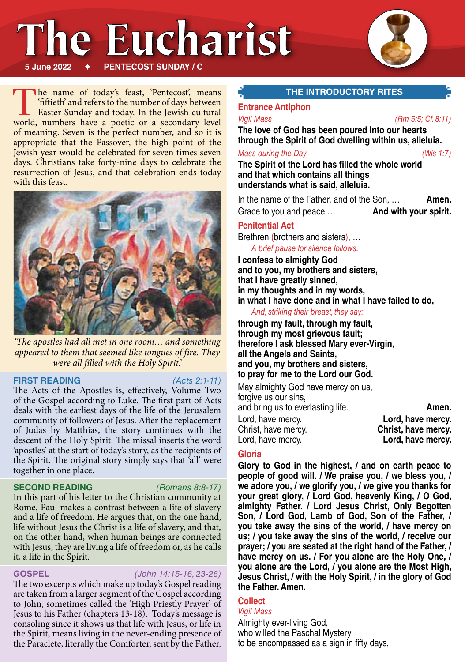# The Eucharist **5 June 2022** ✦ **PENTECOST SUNDAY / C**



The name of today's feast, 'Pentecost', means 'fiftieth' and refers to the number of days between Easter Sunday and today. In the Jewish cultural world, numbers have a poetic or a secondary level of meaning. Seven is the perfect number, and so it is appropriate that the Passover, the high point of the Jewish year would be celebrated for seven times seven days. Christians take forty-nine days to celebrate the resurrection of Jesus, and that celebration ends today with this feast.



*'The apostles had all met in one room… and something appeared to them that seemed like tongues of fire. They were all filled with the Holy Spirit.'*

#### **FIRST READING** *(Acts 2:1-11)*

The Acts of the Apostles is, effectively, Volume Two of the Gospel according to Luke. The first part of Acts deals with the earliest days of the life of the Jerusalem community of followers of Jesus. After the replacement of Judas by Matthias, the story continues with the descent of the Holy Spirit. The missal inserts the word 'apostles' at the start of today's story, as the recipients of the Spirit. The original story simply says that 'all' were together in one place.

#### **SECOND READING** *(Romans 8:8-17)*

In this part of his letter to the Christian community at Rome, Paul makes a contrast between a life of slavery and a life of freedom. He argues that, on the one hand, life without Jesus the Christ is a life of slavery, and that, on the other hand, when human beings are connected with Jesus, they are living a life of freedom or, as he calls it, a life in the Spirit.

#### **GOSPEL** *(John 14:15-16, 23-26)*

The two excerpts which make up today's Gospel reading are taken from a larger segment of the Gospel according to John, sometimes called the 'High Priestly Prayer' of Jesus to his Father (chapters 13-18). Today's message is consoling since it shows us that life with Jesus, or life in the Spirit, means living in the never-ending presence of the Paraclete, literally the Comforter, sent by the Father.

### **THE INTRODUCTORY RITES**

#### **Entrance Antiphon**

*Vigil Mass (Rm 5:5; Cf. 8:11)* **The love of God has been poured into our hearts through the Spirit of God dwelling within us, alleluia.**

# *Mass during the Day (Wis 1:7)*

**The Spirit of the Lord has filled the whole world and that which contains all things understands what is said, alleluia.**

In the name of the Father, and of the Son, … **Amen.** Grace to you and peace … **And with your spirit.**

#### **Penitential Act**

Brethren (brothers and sisters), … *A brief pause for silence follows.* 

### **I confess to almighty God**

**and to you, my brothers and sisters, that I have greatly sinned, in my thoughts and in my words, in what I have done and in what I have failed to do,**

*And, striking their breast, they say:*

**through my fault, through my fault, through my most grievous fault; therefore I ask blessed Mary ever-Virgin, all the Angels and Saints, and you, my brothers and sisters, to pray for me to the Lord our God.**

May almighty God have mercy on us, forgive us our sins, and bring us to everlasting life. **Amen.** Lord, have mercy. **Lord, have mercy.** Christ, have mercy. **Christ, have mercy.** Lord, have mercy. **Lord, have mercy.**

### **Gloria**

**Glory to God in the highest, / and on earth peace to people of good will. / We praise you, / we bless you, / we adore you, / we glorify you, / we give you thanks for your great glory, / Lord God, heavenly King, / O God, almighty Father. / Lord Jesus Christ, Only Begotten Son, / Lord God, Lamb of God, Son of the Father, / you take away the sins of the world, / have mercy on us; / you take away the sins of the world, / receive our prayer; / you are seated at the right hand of the Father, / have mercy on us. / For you alone are the Holy One, / you alone are the Lord, / you alone are the Most High, Jesus Christ, / with the Holy Spirit, / in the glory of God the Father. Amen.**

#### **Collect**

#### *Vigil Mass*

Almighty ever-living God, who willed the Paschal Mystery to be encompassed as a sign in fifty days,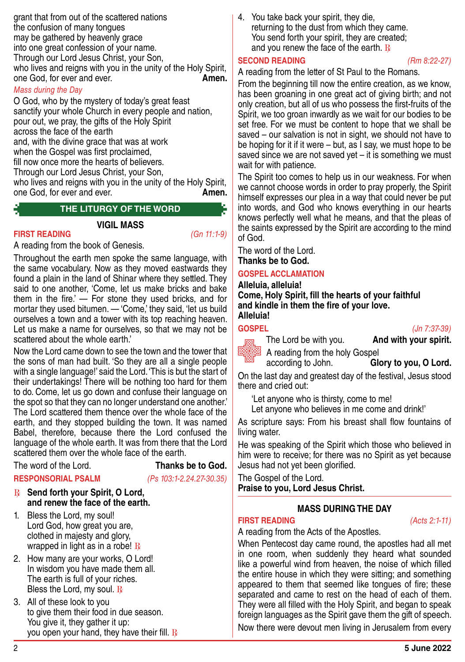grant that from out of the scattered nations the confusion of many tongues may be gathered by heavenly grace into one great confession of your name. Through our Lord Jesus Christ, your Son, who lives and reigns with you in the unity of the Holy Spirit, one God, for ever and ever. **Amen.**

#### *Mass during the Day*

O God, who by the mystery of today's great feast sanctify your whole Church in every people and nation, pour out, we pray, the gifts of the Holy Spirit across the face of the earth and, with the divine grace that was at work when the Gospel was first proclaimed, fill now once more the hearts of believers.

Through our Lord Jesus Christ, your Son,

who lives and reigns with you in the unity of the Holy Spirit, one God, for ever and ever. **Amen.**

# **THE LITURGY OF THE WORD VIGIL MASS**

#### **FIRST READING** *(Gn 11:1-9)*

A reading from the book of Genesis.

Throughout the earth men spoke the same language, with the same vocabulary. Now as they moved eastwards they found a plain in the land of Shinar where they settled. They said to one another, 'Come, let us make bricks and bake them in the fire.' — For stone they used bricks, and for mortar they used bitumen. — 'Come,' they said, 'let us build ourselves a town and a tower with its top reaching heaven. Let us make a name for ourselves, so that we may not be scattered about the whole earth.'

Now the Lord came down to see the town and the tower that the sons of man had built. 'So they are all a single people with a single language!' said the Lord. 'This is but the start of their undertakings! There will be nothing too hard for them to do. Come, let us go down and confuse their language on the spot so that they can no longer understand one another.' The Lord scattered them thence over the whole face of the earth, and they stopped building the town. It was named Babel, therefore, because there the Lord confused the language of the whole earth. It was from there that the Lord scattered them over the whole face of the earth.

The word of the Lord. **Thanks be to God.**

#### **RESPONSORIAL PSALM** *(Ps 103:1-2.24.27-30.35)*

- ℞ **Send forth your Spirit, O Lord, and renew the face of the earth.**
- 1. Bless the Lord, my soul! Lord God, how great you are, clothed in majesty and glory, wrapped in light as in a robe!  $R$
- 2. How many are your works, O Lord! In wisdom you have made them all. The earth is full of your riches. Bless the Lord, my soul.  $\mathbb R$
- 3. All of these look to you to give them their food in due season. You give it, they gather it up: you open your hand, they have their fill.  $\mathbb{R}$

4. You take back your spirit, they die, returning to the dust from which they came. You send forth your spirit, they are created; and you renew the face of the earth.  $\mathbb R$ 

### **SECOND READING** *(Rm 8:22-27)*

A reading from the letter of St Paul to the Romans.

From the beginning till now the entire creation, as we know, has been groaning in one great act of giving birth; and not only creation, but all of us who possess the first-fruits of the Spirit, we too groan inwardly as we wait for our bodies to be set free. For we must be content to hope that we shall be saved – our salvation is not in sight, we should not have to be hoping for it if it were – but, as I say, we must hope to be saved since we are not saved yet – it is something we must wait for with patience.

The Spirit too comes to help us in our weakness. For when we cannot choose words in order to pray properly, the Spirit himself expresses our plea in a way that could never be put into words, and God who knows everything in our hearts knows perfectly well what he means, and that the pleas of the saints expressed by the Spirit are according to the mind of God.

The word of the Lord. **Thanks be to God.**

#### **GOSPEL ACCLAMATION**

#### **Alleluia, alleluia!**

**Come, Holy Spirit, fill the hearts of your faithful and kindle in them the fire of your love. Alleluia!**

**GOSPEL** *(Jn 7:37-39)*

The Lord be with you. **And with your spirit.**

A reading from the holy Gospel according to John. **Glory to you, O Lord.**

On the last day and greatest day of the festival, Jesus stood there and cried out:

'Let anyone who is thirsty, come to me!

Let anyone who believes in me come and drink!'

As scripture says: From his breast shall flow fountains of living water.

He was speaking of the Spirit which those who believed in him were to receive; for there was no Spirit as yet because Jesus had not yet been glorified.

The Gospel of the Lord. **Praise to you, Lord Jesus Christ.**

### **MASS DURING THE DAY**

### **FIRST READING** *(Acts 2:1-11)*

A reading from the Acts of the Apostles.

When Pentecost day came round, the apostles had all met in one room, when suddenly they heard what sounded like a powerful wind from heaven, the noise of which filled the entire house in which they were sitting; and something appeared to them that seemed like tongues of fire; these separated and came to rest on the head of each of them. They were all filled with the Holy Spirit, and began to speak foreign languages as the Spirit gave them the gift of speech.

Now there were devout men living in Jerusalem from every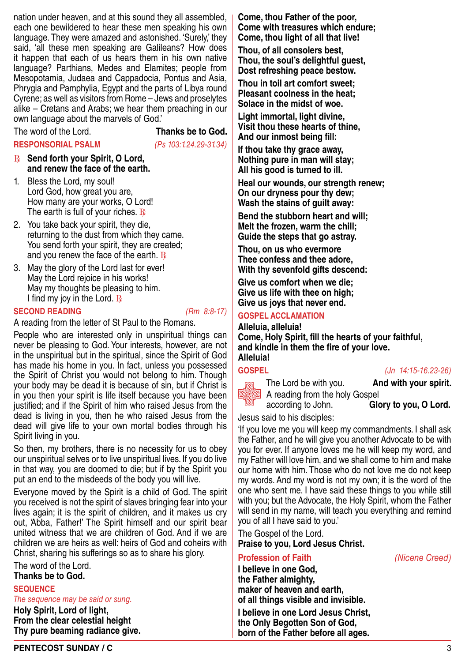nation under heaven, and at this sound they all assembled, each one bewildered to hear these men speaking his own language. They were amazed and astonished. 'Surely,' they said, 'all these men speaking are Galileans? How does it happen that each of us hears them in his own native language? Parthians, Medes and Elamites; people from Mesopotamia, Judaea and Cappadocia, Pontus and Asia, Phrygia and Pamphylia, Egypt and the parts of Libya round Cyrene; as well as visitors from Rome – Jews and proselytes alike – Cretans and Arabs; we hear them preaching in our own language about the marvels of God.'

The word of the Lord. **Thanks be to God.**

#### **RESPONSORIAL PSALM** *(Ps 103:1.24.29-31.34)*

℞ **Send forth your Spirit, O Lord, and renew the face of the earth.**

- 1. Bless the Lord, my soul! Lord God, how great you are, How many are your works, O Lord! The earth is full of your riches.  $\mathbf{R}$
- 2. You take back your spirit, they die, returning to the dust from which they came. You send forth your spirit, they are created; and you renew the face of the earth.  $\bf R$
- 3. May the glory of the Lord last for ever! May the Lord rejoice in his works! May my thoughts be pleasing to him. I find my joy in the Lord.  $\mathbb{R}$

#### **SECOND READING** *(Rm 8:8-17)*

A reading from the letter of St Paul to the Romans.

People who are interested only in unspiritual things can never be pleasing to God. Your interests, however, are not in the unspiritual but in the spiritual, since the Spirit of God has made his home in you. In fact, unless you possessed the Spirit of Christ you would not belong to him. Though your body may be dead it is because of sin, but if Christ is in you then your spirit is life itself because you have been justified; and if the Spirit of him who raised Jesus from the dead is living in you, then he who raised Jesus from the dead will give life to your own mortal bodies through his Spirit living in you.

So then, my brothers, there is no necessity for us to obey our unspiritual selves or to live unspiritual lives. If you do live in that way, you are doomed to die; but if by the Spirit you put an end to the misdeeds of the body you will live.

Everyone moved by the Spirit is a child of God. The spirit you received is not the spirit of slaves bringing fear into your lives again; it is the spirit of children, and it makes us cry out, 'Abba, Father!' The Spirit himself and our spirit bear united witness that we are children of God. And if we are children we are heirs as well: heirs of God and coheirs with Christ, sharing his sufferings so as to share his glory.

The word of the Lord.

**Thanks be to God.**

# **SEQUENCE**

*The sequence may be said or sung.*

**Holy Spirit, Lord of light, From the clear celestial height Thy pure beaming radiance give.** **Come, thou Father of the poor, Come with treasures which endure; Come, thou light of all that live!**

**Thou, of all consolers best, Thou, the soul's delightful guest, Dost refreshing peace bestow.** 

**Thou in toil art comfort sweet; Pleasant coolness in the heat; Solace in the midst of woe.**

**Light immortal, light divine, Visit thou these hearts of thine, And our inmost being fill:**

**If thou take thy grace away, Nothing pure in man will stay; All his good is turned to ill.**

**Heal our wounds, our strength renew; On our dryness pour thy dew; Wash the stains of guilt away:**

**Bend the stubborn heart and will; Melt the frozen, warm the chill; Guide the steps that go astray.**

**Thou, on us who evermore Thee confess and thee adore, With thy sevenfold gifts descend:**

**Give us comfort when we die; Give us life with thee on high; Give us joys that never end.**

## **GOSPEL ACCLAMATION**

### **Alleluia, alleluia!**

**Come, Holy Spirit, fill the hearts of your faithful, and kindle in them the fire of your love. Alleluia!**

**GOSPEL** *(Jn 14:15-16.23-26)*

The Lord be with you. **And with your spirit.** A reading from the holy Gospel

according to John. **Glory to you, O Lord.**

Jesus said to his disciples:

'If you love me you will keep my commandments. I shall ask the Father, and he will give you another Advocate to be with you for ever. If anyone loves me he will keep my word, and my Father will love him, and we shall come to him and make our home with him. Those who do not love me do not keep my words. And my word is not my own; it is the word of the one who sent me. I have said these things to you while still with you; but the Advocate, the Holy Spirit, whom the Father will send in my name, will teach you everything and remind you of all I have said to you.'

The Gospel of the Lord. **Praise to you, Lord Jesus Christ.**

# **Profession of Faith** *(Nicene Creed)*

**I believe in one God, the Father almighty, maker of heaven and earth, of all things visible and invisible. I believe in one Lord Jesus Christ, the Only Begotten Son of God, born of the Father before all ages.**